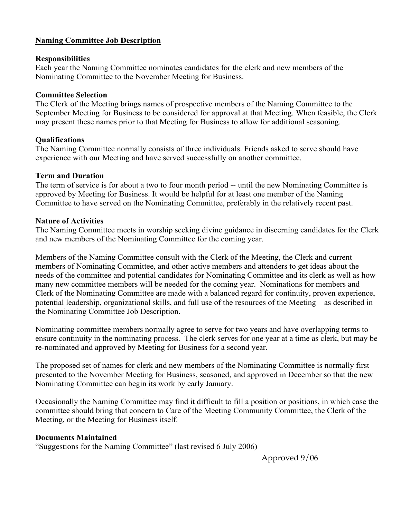# Naming Committee Job Description

## **Responsibilities**

Each year the Naming Committee nominates candidates for the clerk and new members of the Nominating Committee to the November Meeting for Business.

## Committee Selection

The Clerk of the Meeting brings names of prospective members of the Naming Committee to the September Meeting for Business to be considered for approval at that Meeting. When feasible, the Clerk may present these names prior to that Meeting for Business to allow for additional seasoning.

#### **Oualifications**

The Naming Committee normally consists of three individuals. Friends asked to serve should have experience with our Meeting and have served successfully on another committee.

#### Term and Duration

The term of service is for about a two to four month period -- until the new Nominating Committee is approved by Meeting for Business. It would be helpful for at least one member of the Naming Committee to have served on the Nominating Committee, preferably in the relatively recent past.

#### Nature of Activities

The Naming Committee meets in worship seeking divine guidance in discerning candidates for the Clerk and new members of the Nominating Committee for the coming year.

Members of the Naming Committee consult with the Clerk of the Meeting, the Clerk and current members of Nominating Committee, and other active members and attenders to get ideas about the needs of the committee and potential candidates for Nominating Committee and its clerk as well as how many new committee members will be needed for the coming year. Nominations for members and Clerk of the Nominating Committee are made with a balanced regard for continuity, proven experience, potential leadership, organizational skills, and full use of the resources of the Meeting – as described in the Nominating Committee Job Description.

Nominating committee members normally agree to serve for two years and have overlapping terms to ensure continuity in the nominating process. The clerk serves for one year at a time as clerk, but may be re-nominated and approved by Meeting for Business for a second year.

The proposed set of names for clerk and new members of the Nominating Committee is normally first presented to the November Meeting for Business, seasoned, and approved in December so that the new Nominating Committee can begin its work by early January.

Occasionally the Naming Committee may find it difficult to fill a position or positions, in which case the committee should bring that concern to Care of the Meeting Community Committee, the Clerk of the Meeting, or the Meeting for Business itself.

## Documents Maintained

"Suggestions for the Naming Committee" (last revised 6 July 2006)

Approved 9/06